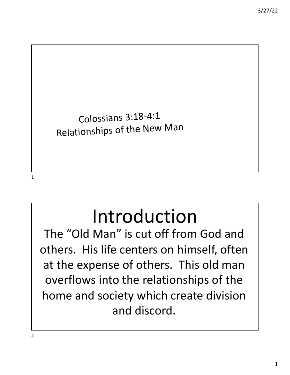

The "Old Man" is cut off from God and others. His life centers on himself, often at the expense of others. This old man overflows into the relationships of the home and society which create division and discord.

2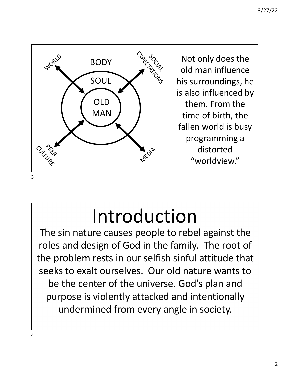

The sin nature causes people to rebel against the roles and design of God in the family. The root of the problem rests in our selfish sinful attitude that seeks to exalt ourselves. Our old nature wants to be the center of the universe. God's plan and purpose is violently attacked and intentionally undermined from every angle in society.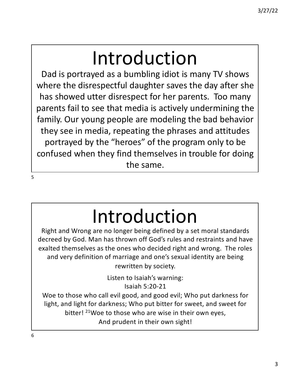Dad is portrayed as a bumbling idiot is many TV shows where the disrespectful daughter saves the day after she has showed utter disrespect for her parents. Too many parents fail to see that media is actively undermining the family. Our young people are modeling the bad behavior they see in media, repeating the phrases and attitudes portrayed by the "heroes" of the program only to be confused when they find themselves in trouble for doing the same.

5

# Introduction

Right and Wrong are no longer being defined by a set moral standards decreed by God. Man has thrown off God's rules and restraints and have exalted themselves as the ones who decided right and wrong. The roles and very definition of marriage and one's sexual identity are being rewritten by society.

> Listen to Isaiah's warning: Isaiah 5:20-21

Woe to those who call evil good, and good evil; Who put darkness for light, and light for darkness; Who put bitter for sweet, and sweet for bitter! <sup>21</sup>Woe to those who are wise in their own eyes, And prudent in their own sight!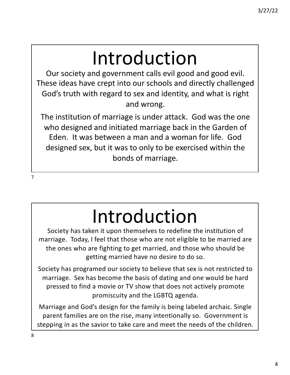Our society and government calls evil good and good evil. These ideas have crept into our schools and directly challenged God's truth with regard to sex and identity, and what is right and wrong.

The institution of marriage is under attack. God was the one who designed and initiated marriage back in the Garden of Eden. It was between a man and a woman for life. God designed sex, but it was to only to be exercised within the bonds of marriage.

# Introduction

Society has taken it upon themselves to redefine the institution of marriage. Today, I feel that those who are not eligible to be married are the ones who are fighting to get married, and those who should be getting married have no desire to do so.

Society has programed our society to believe that sex is not restricted to marriage. Sex has become the basis of dating and one would be hard pressed to find a movie or TV show that does not actively promote promiscuity and the LGBTQ agenda.

Marriage and God's design for the family is being labeled archaic. Single parent families are on the rise, many intentionally so. Government is stepping in as the savior to take care and meet the needs of the children.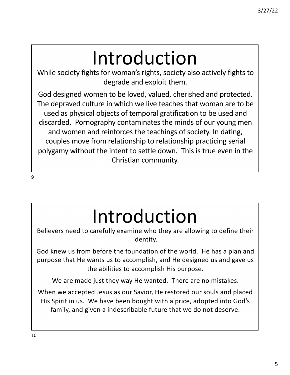While society fights for woman's rights, society also actively fights to degrade and exploit them.

God designed women to be loved, valued, cherished and protected. The depraved culture in which we live teaches that woman are to be used as physical objects of temporal gratification to be used and discarded. Pornography contaminates the minds of our young men and women and reinforces the teachings of society. In dating, couples move from relationship to relationship practicing serial polygamy without the intent to settle down. This is true even in the Christian community.

Introduction

Believers need to carefully examine who they are allowing to define their identity.

God knew us from before the foundation of the world. He has a plan and purpose that He wants us to accomplish, and He designed us and gave us the abilities to accomplish His purpose.

We are made just they way He wanted. There are no mistakes.

When we accepted Jesus as our Savior, He restored our souls and placed His Spirit in us. We have been bought with a price, adopted into God's family, and given a indescribable future that we do not deserve.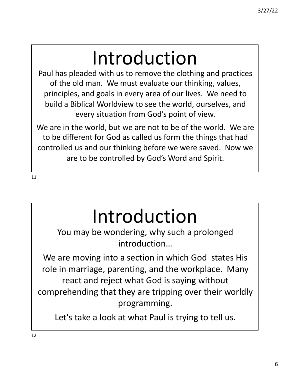Paul has pleaded with us to remove the clothing and practices of the old man. We must evaluate our thinking, values, principles, and goals in every area of our lives. We need to build a Biblical Worldview to see the world, ourselves, and every situation from God's point of view.

We are in the world, but we are not to be of the world. We are to be different for God as called us form the things that had controlled us and our thinking before we were saved. Now we are to be controlled by God's Word and Spirit.

11

# Introduction

You may be wondering, why such a prolonged introduction…

We are moving into a section in which God states His role in marriage, parenting, and the workplace. Many react and reject what God is saying without comprehending that they are tripping over their worldly programming.

Let's take a look at what Paul is trying to tell us.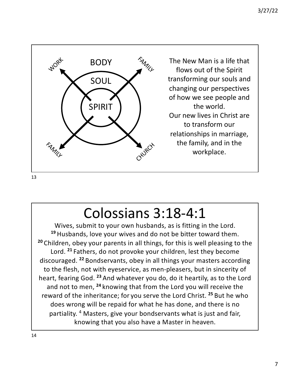

13

#### Colossians 3:18-4:1

Wives, submit to your own husbands, as is fitting in the Lord. **<sup>19</sup>** Husbands, love your wives and do not be bitter toward them. **<sup>20</sup>** Children, obey your parents in all things, for this is well pleasing to the Lord. **<sup>21</sup>** Fathers, do not provoke your children, lest they become discouraged. **<sup>22</sup>** Bondservants, obey in all things your masters according to the flesh, not with eyeservice, as men-pleasers, but in sincerity of heart, fearing God. **<sup>23</sup>** And whatever you do, do it heartily, as to the Lord and not to men, **<sup>24</sup>** knowing that from the Lord you will receive the reward of the inheritance; for you serve the Lord Christ. **<sup>25</sup>** But he who does wrong will be repaid for what he has done, and there is no partiality. 4 Masters, give your bondservants what is just and fair, knowing that you also have a Master in heaven.